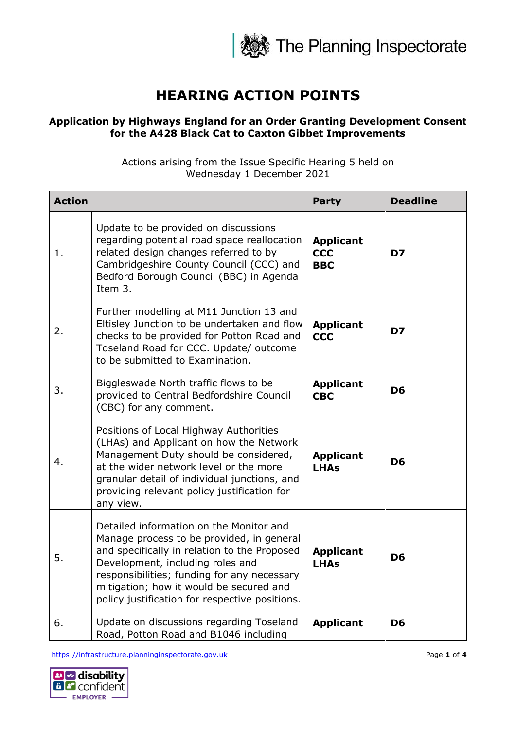

## **HEARING ACTION POINTS**

## **Application by Highways England for an Order Granting Development Consent for the A428 Black Cat to Caxton Gibbet Improvements**

Actions arising from the Issue Specific Hearing 5 held on Wednesday 1 December 2021

| <b>Action</b> |                                                                                                                                                                                                                                                                                                                      | <b>Party</b>                                 | <b>Deadline</b> |
|---------------|----------------------------------------------------------------------------------------------------------------------------------------------------------------------------------------------------------------------------------------------------------------------------------------------------------------------|----------------------------------------------|-----------------|
| 1.            | Update to be provided on discussions<br>regarding potential road space reallocation<br>related design changes referred to by<br>Cambridgeshire County Council (CCC) and<br>Bedford Borough Council (BBC) in Agenda<br>Item 3.                                                                                        | <b>Applicant</b><br><b>CCC</b><br><b>BBC</b> | D7              |
| 2.            | Further modelling at M11 Junction 13 and<br>Eltisley Junction to be undertaken and flow<br>checks to be provided for Potton Road and<br>Toseland Road for CCC. Update/outcome<br>to be submitted to Examination.                                                                                                     | <b>Applicant</b><br><b>CCC</b>               | D7              |
| 3.            | Biggleswade North traffic flows to be<br>provided to Central Bedfordshire Council<br>(CBC) for any comment.                                                                                                                                                                                                          | <b>Applicant</b><br><b>CBC</b>               | D <sub>6</sub>  |
| 4.            | Positions of Local Highway Authorities<br>(LHAs) and Applicant on how the Network<br>Management Duty should be considered,<br>at the wider network level or the more<br>granular detail of individual junctions, and<br>providing relevant policy justification for<br>any view.                                     | <b>Applicant</b><br><b>LHAs</b>              | D <sub>6</sub>  |
| 5.            | Detailed information on the Monitor and<br>Manage process to be provided, in general<br>and specifically in relation to the Proposed<br>Development, including roles and<br>responsibilities; funding for any necessary<br>mitigation; how it would be secured and<br>policy justification for respective positions. | <b>Applicant</b><br><b>LHAs</b>              | D <sub>6</sub>  |
| 6.            | Update on discussions regarding Toseland<br>Road, Potton Road and B1046 including                                                                                                                                                                                                                                    | <b>Applicant</b>                             | D <sub>6</sub>  |

[https://infrastructure.planninginspectorate.gov.uk](https://infrastructure.planninginspectorate.gov.uk/) Page **1** of **4**

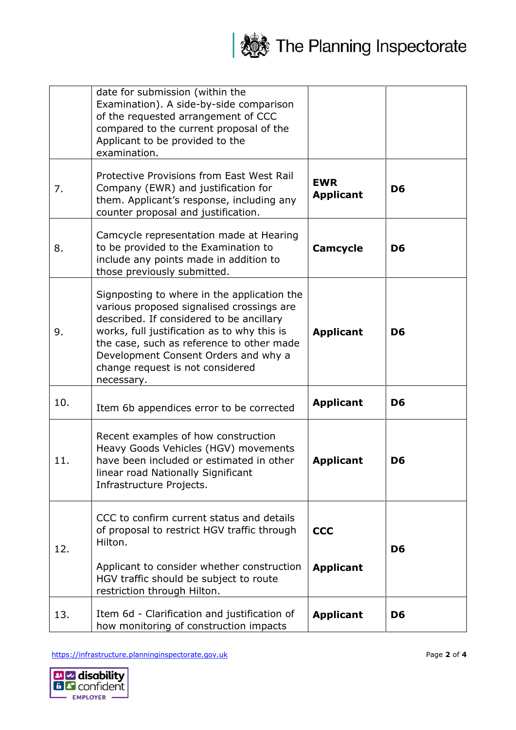

|     | date for submission (within the<br>Examination). A side-by-side comparison<br>of the requested arrangement of CCC<br>compared to the current proposal of the<br>Applicant to be provided to the<br>examination.                                                                                                            |                                |                |
|-----|----------------------------------------------------------------------------------------------------------------------------------------------------------------------------------------------------------------------------------------------------------------------------------------------------------------------------|--------------------------------|----------------|
| 7.  | Protective Provisions from East West Rail<br>Company (EWR) and justification for<br>them. Applicant's response, including any<br>counter proposal and justification.                                                                                                                                                       | <b>EWR</b><br><b>Applicant</b> | D <sub>6</sub> |
| 8.  | Camcycle representation made at Hearing<br>to be provided to the Examination to<br>include any points made in addition to<br>those previously submitted.                                                                                                                                                                   | <b>Camcycle</b>                | D <sub>6</sub> |
| 9.  | Signposting to where in the application the<br>various proposed signalised crossings are<br>described. If considered to be ancillary<br>works, full justification as to why this is<br>the case, such as reference to other made<br>Development Consent Orders and why a<br>change request is not considered<br>necessary. | <b>Applicant</b>               | D <sub>6</sub> |
| 10. | Item 6b appendices error to be corrected                                                                                                                                                                                                                                                                                   | <b>Applicant</b>               | D <sub>6</sub> |
| 11. | Recent examples of how construction<br>Heavy Goods Vehicles (HGV) movements<br>have been included or estimated in other<br>linear road Nationally Significant<br>Infrastructure Projects.                                                                                                                                  | <b>Applicant</b>               | D <sub>6</sub> |
| 12. | CCC to confirm current status and details<br>of proposal to restrict HGV traffic through<br>Hilton.<br>Applicant to consider whether construction<br>HGV traffic should be subject to route<br>restriction through Hilton.                                                                                                 | <b>CCC</b><br><b>Applicant</b> | D <sub>6</sub> |
| 13. | Item 6d - Clarification and justification of<br>how monitoring of construction impacts                                                                                                                                                                                                                                     | <b>Applicant</b>               | D <sub>6</sub> |

[https://infrastructure.planninginspectorate.gov.uk](https://infrastructure.planninginspectorate.gov.uk/) Page **2** of **4**

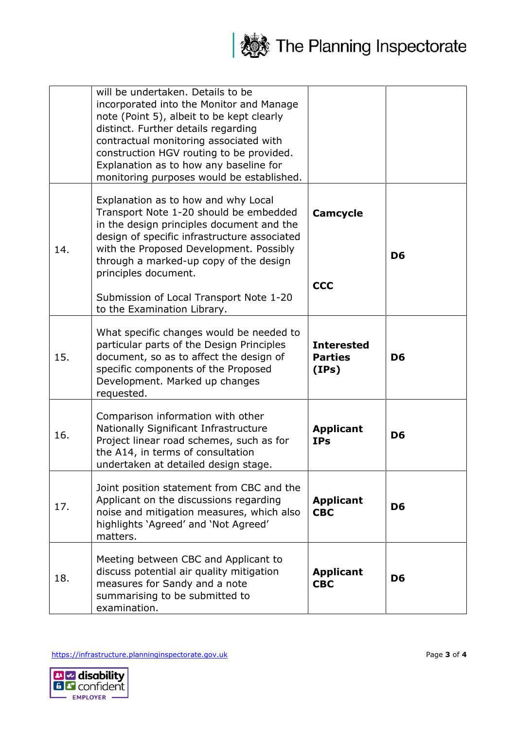

|     | will be undertaken. Details to be<br>incorporated into the Monitor and Manage<br>note (Point 5), albeit to be kept clearly<br>distinct. Further details regarding<br>contractual monitoring associated with<br>construction HGV routing to be provided.<br>Explanation as to how any baseline for<br>monitoring purposes would be established. |                                              |                |
|-----|------------------------------------------------------------------------------------------------------------------------------------------------------------------------------------------------------------------------------------------------------------------------------------------------------------------------------------------------|----------------------------------------------|----------------|
| 14. | Explanation as to how and why Local<br>Transport Note 1-20 should be embedded<br>in the design principles document and the<br>design of specific infrastructure associated<br>with the Proposed Development. Possibly<br>through a marked-up copy of the design<br>principles document.<br>Submission of Local Transport Note 1-20             | <b>Camcycle</b><br><b>CCC</b>                | D <sub>6</sub> |
| 15. | to the Examination Library.<br>What specific changes would be needed to<br>particular parts of the Design Principles<br>document, so as to affect the design of<br>specific components of the Proposed<br>Development. Marked up changes<br>requested.                                                                                         | <b>Interested</b><br><b>Parties</b><br>(IPS) | D <sub>6</sub> |
| 16. | Comparison information with other<br>Nationally Significant Infrastructure<br>Project linear road schemes, such as for<br>the A14, in terms of consultation<br>undertaken at detailed design stage.                                                                                                                                            | <b>Applicant</b><br><b>IPs</b>               | D <sub>6</sub> |
| 17. | Joint position statement from CBC and the<br>Applicant on the discussions regarding<br>noise and mitigation measures, which also<br>highlights 'Agreed' and 'Not Agreed'<br>matters.                                                                                                                                                           | <b>Applicant</b><br><b>CBC</b>               | D <sub>6</sub> |
| 18. | Meeting between CBC and Applicant to<br>discuss potential air quality mitigation<br>measures for Sandy and a note<br>summarising to be submitted to<br>examination.                                                                                                                                                                            | <b>Applicant</b><br><b>CBC</b>               | D <sub>6</sub> |

[https://infrastructure.planninginspectorate.gov.uk](https://infrastructure.planninginspectorate.gov.uk/) Page **3** of **4**